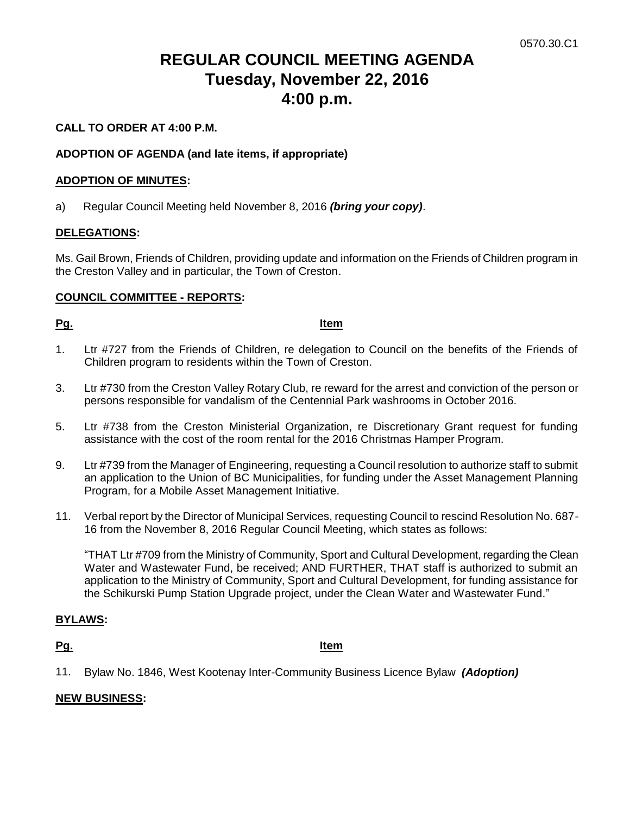# **REGULAR COUNCIL MEETING AGENDA Tuesday, November 22, 2016 4:00 p.m.**

# **CALL TO ORDER AT 4:00 P.M.**

# **ADOPTION OF AGENDA (and late items, if appropriate)**

### **ADOPTION OF MINUTES:**

a) Regular Council Meeting held November 8, 2016 *(bring your copy)*.

### **DELEGATIONS:**

Ms. Gail Brown, Friends of Children, providing update and information on the Friends of Children program in the Creston Valley and in particular, the Town of Creston.

### **COUNCIL COMMITTEE - REPORTS:**

#### **Pg. Item**

- 1. Ltr #727 from the Friends of Children, re delegation to Council on the benefits of the Friends of Children program to residents within the Town of Creston.
- 3. Ltr #730 from the Creston Valley Rotary Club, re reward for the arrest and conviction of the person or persons responsible for vandalism of the Centennial Park washrooms in October 2016.
- 5. Ltr #738 from the Creston Ministerial Organization, re Discretionary Grant request for funding assistance with the cost of the room rental for the 2016 Christmas Hamper Program.
- 9. Ltr #739 from the Manager of Engineering, requesting a Council resolution to authorize staff to submit an application to the Union of BC Municipalities, for funding under the Asset Management Planning Program, for a Mobile Asset Management Initiative.
- 11. Verbal report by the Director of Municipal Services, requesting Council to rescind Resolution No. 687- 16 from the November 8, 2016 Regular Council Meeting, which states as follows:

"THAT Ltr #709 from the Ministry of Community, Sport and Cultural Development, regarding the Clean Water and Wastewater Fund, be received; AND FURTHER, THAT staff is authorized to submit an application to the Ministry of Community, Sport and Cultural Development, for funding assistance for the Schikurski Pump Station Upgrade project, under the Clean Water and Wastewater Fund."

### **BYLAWS:**

#### **Pg. Item**

11. Bylaw No. 1846, West Kootenay Inter-Community Business Licence Bylaw *(Adoption)*

### **NEW BUSINESS:**